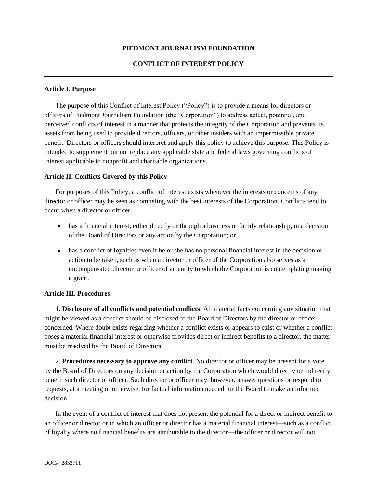## **PIEDMONT JOURNALISM FOUNDATION**

## **CONFLICT OF INTEREST POLICY**

#### **Article I. Purpose**

The purpose of this Conflict of Interest Policy ("Policy") is to provide a means for directors or officers of Piedmont Journalism Foundation (the "Corporation") to address actual, potential, and perceived conflicts of interest in a manner that protects the integrity of the Corporation and prevents its assets from being used to provide directors, officers, or other insiders with an impermissible private benefit. Directors or officers should interpret and apply this policy to achieve this purpose. This Policy is intended to supplement but not replace any applicable state and federal laws governing conflicts of interest applicable to nonprofit and charitable organizations.

#### **Article II. Conflicts Covered by this Policy**

For purposes of this Policy, a conflict of interest exists whenever the interests or concerns of any director or officer may be seen as competing with the best interests of the Corporation. Conflicts tend to occur when a director or officer:

- has a financial interest, either directly or through a business or family relationship, in a decision of the Board of Directors or any action by the Corporation; or
- has a conflict of loyalties even if he or she has no personal financial interest in the decision or action to be taken, such as when a director or officer of the Corporation also serves as an uncompensated director or officer of an entity to which the Corporation is contemplating making a grant.

# **Article III. Procedures**

1. **Disclosure of all conflicts and potential conflicts**. All material facts concerning any situation that might be viewed as a conflict should be disclosed to the Board of Directors by the director or officer concerned. Where doubt exists regarding whether a conflict exists or appears to exist or whether a conflict poses a material financial interest or otherwise provides direct or indirect benefits to a director, the matter must be resolved by the Board of Directors.

2. **Procedures necessary to approve any conflict**. No director or officer may be present for a vote by the Board of Directors on any decision or action by the Corporation which would directly or indirectly benefit such director or officer. Such director or officer may, however, answer questions or respond to requests, at a meeting or otherwise, for factual information needed for the Board to make an informed decision.

In the event of a conflict of interest that does not present the potential for a direct or indirect benefit to an officer or director or in which an officer or director has a material financial interest—such as a conflict of loyalty where no financial benefits are attributable to the director—the officer or director will not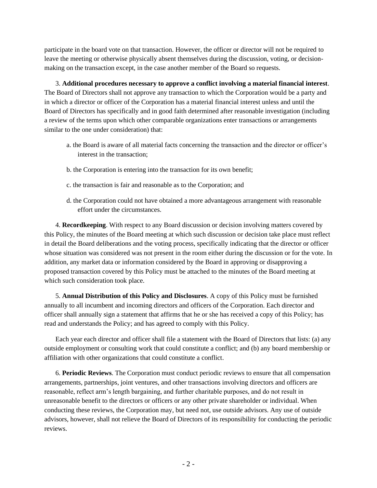participate in the board vote on that transaction. However, the officer or director will not be required to leave the meeting or otherwise physically absent themselves during the discussion, voting, or decisionmaking on the transaction except, in the case another member of the Board so requests.

3. **Additional procedures necessary to approve a conflict involving a material financial interest**. The Board of Directors shall not approve any transaction to which the Corporation would be a party and in which a director or officer of the Corporation has a material financial interest unless and until the Board of Directors has specifically and in good faith determined after reasonable investigation (including a review of the terms upon which other comparable organizations enter transactions or arrangements similar to the one under consideration) that:

- a. the Board is aware of all material facts concerning the transaction and the director or officer's interest in the transaction;
- b. the Corporation is entering into the transaction for its own benefit;
- c. the transaction is fair and reasonable as to the Corporation; and
- d. the Corporation could not have obtained a more advantageous arrangement with reasonable effort under the circumstances.

4. **Recordkeeping**. With respect to any Board discussion or decision involving matters covered by this Policy, the minutes of the Board meeting at which such discussion or decision take place must reflect in detail the Board deliberations and the voting process, specifically indicating that the director or officer whose situation was considered was not present in the room either during the discussion or for the vote. In addition, any market data or information considered by the Board in approving or disapproving a proposed transaction covered by this Policy must be attached to the minutes of the Board meeting at which such consideration took place.

5. **Annual Distribution of this Policy and Disclosures**. A copy of this Policy must be furnished annually to all incumbent and incoming directors and officers of the Corporation. Each director and officer shall annually sign a statement that affirms that he or she has received a copy of this Policy; has read and understands the Policy; and has agreed to comply with this Policy.

Each year each director and officer shall file a statement with the Board of Directors that lists: (a) any outside employment or consulting work that could constitute a conflict; and (b) any board membership or affiliation with other organizations that could constitute a conflict.

6. **Periodic Reviews**. The Corporation must conduct periodic reviews to ensure that all compensation arrangements, partnerships, joint ventures, and other transactions involving directors and officers are reasonable, reflect arm's length bargaining, and further charitable purposes, and do not result in unreasonable benefit to the directors or officers or any other private shareholder or individual. When conducting these reviews, the Corporation may, but need not, use outside advisors. Any use of outside advisors, however, shall not relieve the Board of Directors of its responsibility for conducting the periodic reviews.